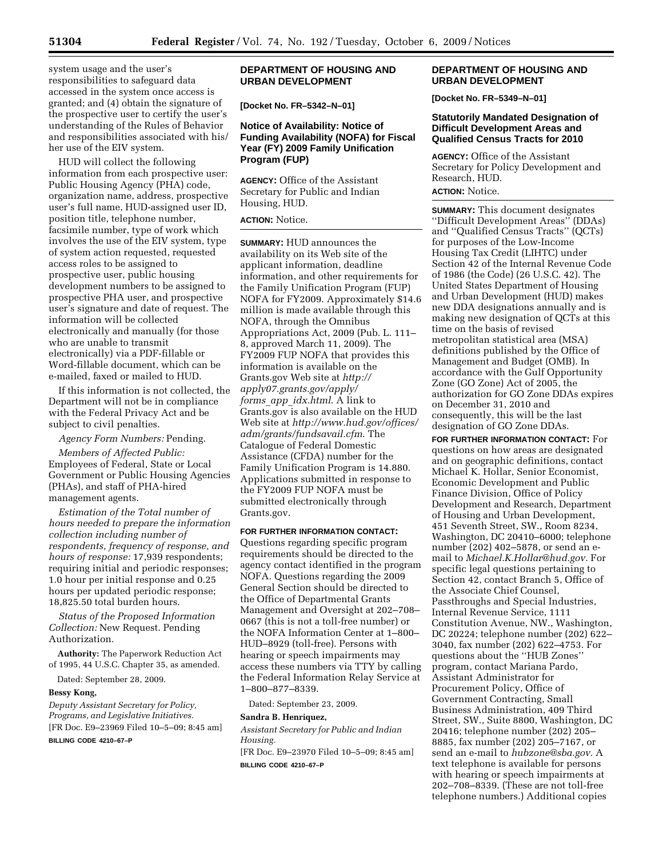system usage and the user's responsibilities to safeguard data accessed in the system once access is granted; and (4) obtain the signature of the prospective user to certify the user's understanding of the Rules of Behavior and responsibilities associated with his/ her use of the EIV system.

HUD will collect the following information from each prospective user: Public Housing Agency (PHA) code, organization name, address, prospective user's full name, HUD-assigned user ID, position title, telephone number, facsimile number, type of work which involves the use of the EIV system, type of system action requested, requested access roles to be assigned to prospective user, public housing development numbers to be assigned to prospective PHA user, and prospective user's signature and date of request. The information will be collected electronically and manually (for those who are unable to transmit electronically) via a PDF-fillable or Word-fillable document, which can be e-mailed, faxed or mailed to HUD.

If this information is not collected, the Department will not be in compliance with the Federal Privacy Act and be subject to civil penalties.

*Agency Form Numbers:* Pending.

*Members of Affected Public:*  Employees of Federal, State or Local Government or Public Housing Agencies (PHAs), and staff of PHA-hired management agents.

*Estimation of the Total number of hours needed to prepare the information collection including number of respondents, frequency of response, and hours of response:* 17,939 respondents; requiring initial and periodic responses; 1.0 hour per initial response and 0.25 hours per updated periodic response; 18,825.50 total burden hours.

*Status of the Proposed Information Collection:* New Request. Pending Authorization.

**Authority:** The Paperwork Reduction Act of 1995, 44 U.S.C. Chapter 35, as amended.

Dated: September 28, 2009.

### **Bessy Kong,**

*Deputy Assistant Secretary for Policy, Programs, and Legislative Initiatives.*  [FR Doc. E9–23969 Filed 10–5–09; 8:45 am] **BILLING CODE 4210–67–P** 

# **DEPARTMENT OF HOUSING AND URBAN DEVELOPMENT**

**[Docket No. FR–5342–N–01]** 

# **Notice of Availability: Notice of Funding Availability (NOFA) for Fiscal Year (FY) 2009 Family Unification Program (FUP)**

**AGENCY:** Office of the Assistant Secretary for Public and Indian Housing, HUD.

# **ACTION:** Notice.

**SUMMARY:** HUD announces the availability on its Web site of the applicant information, deadline information, and other requirements for the Family Unification Program (FUP) NOFA for FY2009. Approximately \$14.6 million is made available through this NOFA, through the Omnibus Appropriations Act, 2009 (Pub. L. 111– 8, approved March 11, 2009). The FY2009 FUP NOFA that provides this information is available on the Grants.gov Web site at *http:// apply07.grants.gov/apply/ forms*\_*app*\_*idx.html*. A link to Grants.gov is also available on the HUD Web site at *http://www.hud.gov/offices/ adm/grants/fundsavail.cfm*. The Catalogue of Federal Domestic Assistance (CFDA) number for the Family Unification Program is 14.880. Applications submitted in response to the FY2009 FUP NOFA must be submitted electronically through Grants.gov.

### **FOR FURTHER INFORMATION CONTACT:**

Questions regarding specific program requirements should be directed to the agency contact identified in the program NOFA. Questions regarding the 2009 General Section should be directed to the Office of Departmental Grants Management and Oversight at 202–708– 0667 (this is not a toll-free number) or the NOFA Information Center at 1–800– HUD–8929 (toll-free). Persons with hearing or speech impairments may access these numbers via TTY by calling the Federal Information Relay Service at 1–800–877–8339.

Dated: September 23, 2009.

#### **Sandra B. Henriquez,**

*Assistant Secretary for Public and Indian Housing.* 

[FR Doc. E9–23970 Filed 10–5–09; 8:45 am] **BILLING CODE 4210–67–P** 

# **DEPARTMENT OF HOUSING AND URBAN DEVELOPMENT**

**[Docket No. FR–5349–N–01]** 

# **Statutorily Mandated Designation of Difficult Development Areas and Qualified Census Tracts for 2010**

**AGENCY:** Office of the Assistant Secretary for Policy Development and Research, HUD.

# **ACTION:** Notice.

**SUMMARY:** This document designates ''Difficult Development Areas'' (DDAs) and ''Qualified Census Tracts'' (QCTs) for purposes of the Low-Income Housing Tax Credit (LIHTC) under Section 42 of the Internal Revenue Code of 1986 (the Code) (26 U.S.C. 42). The United States Department of Housing and Urban Development (HUD) makes new DDA designations annually and is making new designation of QCTs at this time on the basis of revised metropolitan statistical area (MSA) definitions published by the Office of Management and Budget (OMB). In accordance with the Gulf Opportunity Zone (GO Zone) Act of 2005, the authorization for GO Zone DDAs expires on December 31, 2010 and consequently, this will be the last designation of GO Zone DDAs.

**FOR FURTHER INFORMATION CONTACT:** For questions on how areas are designated and on geographic definitions, contact Michael K. Hollar, Senior Economist, Economic Development and Public Finance Division, Office of Policy Development and Research, Department of Housing and Urban Development, 451 Seventh Street, SW., Room 8234, Washington, DC 20410–6000; telephone number (202) 402–5878, or send an email to *Michael.K.Hollar@hud.gov.* For specific legal questions pertaining to Section 42, contact Branch 5, Office of the Associate Chief Counsel, Passthroughs and Special Industries, Internal Revenue Service, 1111 Constitution Avenue, NW., Washington, DC 20224; telephone number (202) 622– 3040, fax number (202) 622–4753. For questions about the ''HUB Zones'' program, contact Mariana Pardo, Assistant Administrator for Procurement Policy, Office of Government Contracting, Small Business Administration, 409 Third Street, SW., Suite 8800, Washington, DC 20416; telephone number (202) 205– 8885, fax number (202) 205–7167, or send an e-mail to *hubzone@sba.gov.* A text telephone is available for persons with hearing or speech impairments at 202–708–8339. (These are not toll-free telephone numbers.) Additional copies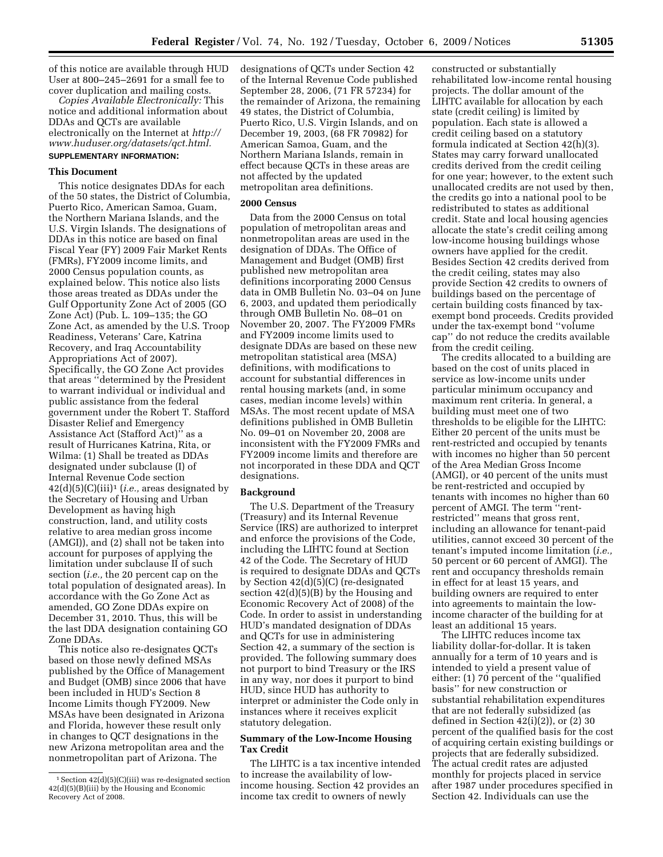of this notice are available through HUD User at 800–245–2691 for a small fee to cover duplication and mailing costs.

*Copies Available Electronically:* This notice and additional information about DDAs and QCTs are available electronically on the Internet at *http:// www.huduser.org/datasets/qct.html.*  **SUPPLEMENTARY INFORMATION:** 

## **This Document**

This notice designates DDAs for each of the 50 states, the District of Columbia, Puerto Rico, American Samoa, Guam, the Northern Mariana Islands, and the U.S. Virgin Islands. The designations of DDAs in this notice are based on final Fiscal Year (FY) 2009 Fair Market Rents (FMRs), FY2009 income limits, and 2000 Census population counts, as explained below. This notice also lists those areas treated as DDAs under the Gulf Opportunity Zone Act of 2005 (GO Zone Act) (Pub. L. 109–135; the GO Zone Act, as amended by the U.S. Troop Readiness, Veterans' Care, Katrina Recovery, and Iraq Accountability Appropriations Act of 2007). Specifically, the GO Zone Act provides that areas ''determined by the President to warrant individual or individual and public assistance from the federal government under the Robert T. Stafford Disaster Relief and Emergency Assistance Act (Stafford Act)'' as a result of Hurricanes Katrina, Rita, or Wilma: (1) Shall be treated as DDAs designated under subclause (I) of Internal Revenue Code section 42(d)(5)(C)(iii)1 (*i.e.,* areas designated by the Secretary of Housing and Urban Development as having high construction, land, and utility costs relative to area median gross income (AMGI)), and (2) shall not be taken into account for purposes of applying the limitation under subclause II of such section (*i.e.,* the 20 percent cap on the total population of designated areas). In accordance with the Go Zone Act as amended, GO Zone DDAs expire on December 31, 2010. Thus, this will be the last DDA designation containing GO Zone DDAs.

This notice also re-designates QCTs based on those newly defined MSAs published by the Office of Management and Budget (OMB) since 2006 that have been included in HUD's Section 8 Income Limits though FY2009. New MSAs have been designated in Arizona and Florida, however these result only in changes to QCT designations in the new Arizona metropolitan area and the nonmetropolitan part of Arizona. The

designations of QCTs under Section 42 of the Internal Revenue Code published September 28, 2006, (71 FR 57234) for the remainder of Arizona, the remaining 49 states, the District of Columbia, Puerto Rico, U.S. Virgin Islands, and on December 19, 2003, (68 FR 70982) for American Samoa, Guam, and the Northern Mariana Islands, remain in effect because QCTs in these areas are not affected by the updated metropolitan area definitions.

# **2000 Census**

Data from the 2000 Census on total population of metropolitan areas and nonmetropolitan areas are used in the designation of DDAs. The Office of Management and Budget (OMB) first published new metropolitan area definitions incorporating 2000 Census data in OMB Bulletin No. 03–04 on June 6, 2003, and updated them periodically through OMB Bulletin No. 08–01 on November 20, 2007. The FY2009 FMRs and FY2009 income limits used to designate DDAs are based on these new metropolitan statistical area (MSA) definitions, with modifications to account for substantial differences in rental housing markets (and, in some cases, median income levels) within MSAs. The most recent update of MSA definitions published in OMB Bulletin No. 09–01 on November 20, 2008 are inconsistent with the FY2009 FMRs and FY2009 income limits and therefore are not incorporated in these DDA and QCT designations.

### **Background**

The U.S. Department of the Treasury (Treasury) and its Internal Revenue Service (IRS) are authorized to interpret and enforce the provisions of the Code, including the LIHTC found at Section 42 of the Code. The Secretary of HUD is required to designate DDAs and QCTs by Section 42(d)(5)(C) (re-designated section  $42(d)(5)(B)$  by the Housing and Economic Recovery Act of 2008) of the Code. In order to assist in understanding HUD's mandated designation of DDAs and QCTs for use in administering Section 42, a summary of the section is provided. The following summary does not purport to bind Treasury or the IRS in any way, nor does it purport to bind HUD, since HUD has authority to interpret or administer the Code only in instances where it receives explicit statutory delegation.

# **Summary of the Low-Income Housing Tax Credit**

The LIHTC is a tax incentive intended to increase the availability of lowincome housing. Section 42 provides an income tax credit to owners of newly

constructed or substantially rehabilitated low-income rental housing projects. The dollar amount of the LIHTC available for allocation by each state (credit ceiling) is limited by population. Each state is allowed a credit ceiling based on a statutory formula indicated at Section 42(h)(3). States may carry forward unallocated credits derived from the credit ceiling for one year; however, to the extent such unallocated credits are not used by then, the credits go into a national pool to be redistributed to states as additional credit. State and local housing agencies allocate the state's credit ceiling among low-income housing buildings whose owners have applied for the credit. Besides Section 42 credits derived from the credit ceiling, states may also provide Section 42 credits to owners of buildings based on the percentage of certain building costs financed by taxexempt bond proceeds. Credits provided under the tax-exempt bond ''volume cap'' do not reduce the credits available from the credit ceiling.

The credits allocated to a building are based on the cost of units placed in service as low-income units under particular minimum occupancy and maximum rent criteria. In general, a building must meet one of two thresholds to be eligible for the LIHTC: Either 20 percent of the units must be rent-restricted and occupied by tenants with incomes no higher than 50 percent of the Area Median Gross Income (AMGI), or 40 percent of the units must be rent-restricted and occupied by tenants with incomes no higher than 60 percent of AMGI. The term ''rentrestricted'' means that gross rent, including an allowance for tenant-paid utilities, cannot exceed 30 percent of the tenant's imputed income limitation (*i.e.,*  50 percent or 60 percent of AMGI). The rent and occupancy thresholds remain in effect for at least 15 years, and building owners are required to enter into agreements to maintain the lowincome character of the building for at least an additional 15 years.

The LIHTC reduces income tax liability dollar-for-dollar. It is taken annually for a term of 10 years and is intended to yield a present value of either: (1) 70 percent of the ''qualified basis'' for new construction or substantial rehabilitation expenditures that are not federally subsidized (as defined in Section 42(i)(2)), or (2) 30 percent of the qualified basis for the cost of acquiring certain existing buildings or projects that are federally subsidized. The actual credit rates are adjusted monthly for projects placed in service after 1987 under procedures specified in Section 42. Individuals can use the

<sup>1</sup> Section 42(d)(5)(C)(iii) was re-designated section 42(d)(5)(B)(iii) by the Housing and Economic Recovery Act of 2008.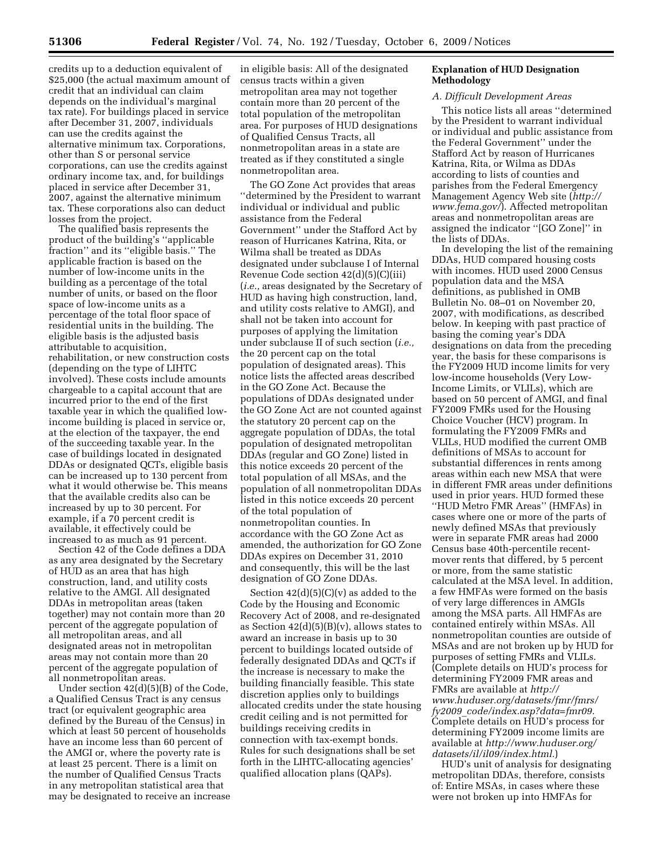credits up to a deduction equivalent of \$25,000 (the actual maximum amount of credit that an individual can claim depends on the individual's marginal tax rate). For buildings placed in service after December 31, 2007, individuals can use the credits against the alternative minimum tax. Corporations, other than S or personal service corporations, can use the credits against ordinary income tax, and, for buildings placed in service after December 31, 2007, against the alternative minimum tax. These corporations also can deduct losses from the project.

The qualified basis represents the product of the building's ''applicable fraction'' and its ''eligible basis.'' The applicable fraction is based on the number of low-income units in the building as a percentage of the total number of units, or based on the floor space of low-income units as a percentage of the total floor space of residential units in the building. The eligible basis is the adjusted basis attributable to acquisition, rehabilitation, or new construction costs (depending on the type of LIHTC involved). These costs include amounts chargeable to a capital account that are incurred prior to the end of the first taxable year in which the qualified lowincome building is placed in service or, at the election of the taxpayer, the end of the succeeding taxable year. In the case of buildings located in designated DDAs or designated QCTs, eligible basis can be increased up to 130 percent from what it would otherwise be. This means that the available credits also can be increased by up to 30 percent. For example, if a 70 percent credit is available, it effectively could be increased to as much as 91 percent.

Section 42 of the Code defines a DDA as any area designated by the Secretary of HUD as an area that has high construction, land, and utility costs relative to the AMGI. All designated DDAs in metropolitan areas (taken together) may not contain more than 20 percent of the aggregate population of all metropolitan areas, and all designated areas not in metropolitan areas may not contain more than 20 percent of the aggregate population of all nonmetropolitan areas.

Under section 42(d)(5)(B) of the Code, a Qualified Census Tract is any census tract (or equivalent geographic area defined by the Bureau of the Census) in which at least 50 percent of households have an income less than 60 percent of the AMGI or, where the poverty rate is at least 25 percent. There is a limit on the number of Qualified Census Tracts in any metropolitan statistical area that may be designated to receive an increase

in eligible basis: All of the designated census tracts within a given metropolitan area may not together contain more than 20 percent of the total population of the metropolitan area. For purposes of HUD designations of Qualified Census Tracts, all nonmetropolitan areas in a state are treated as if they constituted a single nonmetropolitan area.

The GO Zone Act provides that areas ''determined by the President to warrant individual or individual and public assistance from the Federal Government'' under the Stafford Act by reason of Hurricanes Katrina, Rita, or Wilma shall be treated as DDAs designated under subclause I of Internal Revenue Code section 42(d)(5)(C)(iii) (*i.e.,* areas designated by the Secretary of HUD as having high construction, land, and utility costs relative to AMGI), and shall not be taken into account for purposes of applying the limitation under subclause II of such section (*i.e.,*  the 20 percent cap on the total population of designated areas). This notice lists the affected areas described in the GO Zone Act. Because the populations of DDAs designated under the GO Zone Act are not counted against the statutory 20 percent cap on the aggregate population of DDAs, the total population of designated metropolitan DDAs (regular and GO Zone) listed in this notice exceeds 20 percent of the total population of all MSAs, and the population of all nonmetropolitan DDAs listed in this notice exceeds 20 percent of the total population of nonmetropolitan counties. In accordance with the GO Zone Act as amended, the authorization for GO Zone DDAs expires on December 31, 2010 and consequently, this will be the last designation of GO Zone DDAs.

Section  $42(d)(5)(C)(v)$  as added to the Code by the Housing and Economic Recovery Act of 2008, and re-designated as Section  $42(d)(5)(B)(v)$ , allows states to award an increase in basis up to 30 percent to buildings located outside of federally designated DDAs and QCTs if the increase is necessary to make the building financially feasible. This state discretion applies only to buildings allocated credits under the state housing credit ceiling and is not permitted for buildings receiving credits in connection with tax-exempt bonds. Rules for such designations shall be set forth in the LIHTC-allocating agencies' qualified allocation plans (QAPs).

# **Explanation of HUD Designation Methodology**

# *A. Difficult Development Areas*

This notice lists all areas ''determined by the President to warrant individual or individual and public assistance from the Federal Government'' under the Stafford Act by reason of Hurricanes Katrina, Rita, or Wilma as DDAs according to lists of counties and parishes from the Federal Emergency Management Agency Web site (*http:// www.fema.gov/*). Affected metropolitan areas and nonmetropolitan areas are assigned the indicator ''[GO Zone]'' in the lists of DDAs.

In developing the list of the remaining DDAs, HUD compared housing costs with incomes. HUD used 2000 Census population data and the MSA definitions, as published in OMB Bulletin No. 08–01 on November 20, 2007, with modifications, as described below. In keeping with past practice of basing the coming year's DDA designations on data from the preceding year, the basis for these comparisons is the FY2009 HUD income limits for very low-income households (Very Low-Income Limits, or VLILs), which are based on 50 percent of AMGI, and final FY2009 FMRs used for the Housing Choice Voucher (HCV) program. In formulating the FY2009 FMRs and VLILs, HUD modified the current OMB definitions of MSAs to account for substantial differences in rents among areas within each new MSA that were in different FMR areas under definitions used in prior years. HUD formed these ''HUD Metro FMR Areas'' (HMFAs) in cases where one or more of the parts of newly defined MSAs that previously were in separate FMR areas had 2000 Census base 40th-percentile recentmover rents that differed, by 5 percent or more, from the same statistic calculated at the MSA level. In addition, a few HMFAs were formed on the basis of very large differences in AMGIs among the MSA parts. All HMFAs are contained entirely within MSAs. All nonmetropolitan counties are outside of MSAs and are not broken up by HUD for purposes of setting FMRs and VLILs. (Complete details on HUD's process for determining FY2009 FMR areas and FMRs are available at *http:// www.huduser.org/datasets/fmr/fmrs/ fy2009*\_*code/index.asp?data=fmr09.*  Complete details on HUD's process for determining FY2009 income limits are available at *http://www.huduser.org/ datasets/il/il09/index.html.*)

HUD's unit of analysis for designating metropolitan DDAs, therefore, consists of: Entire MSAs, in cases where these were not broken up into HMFAs for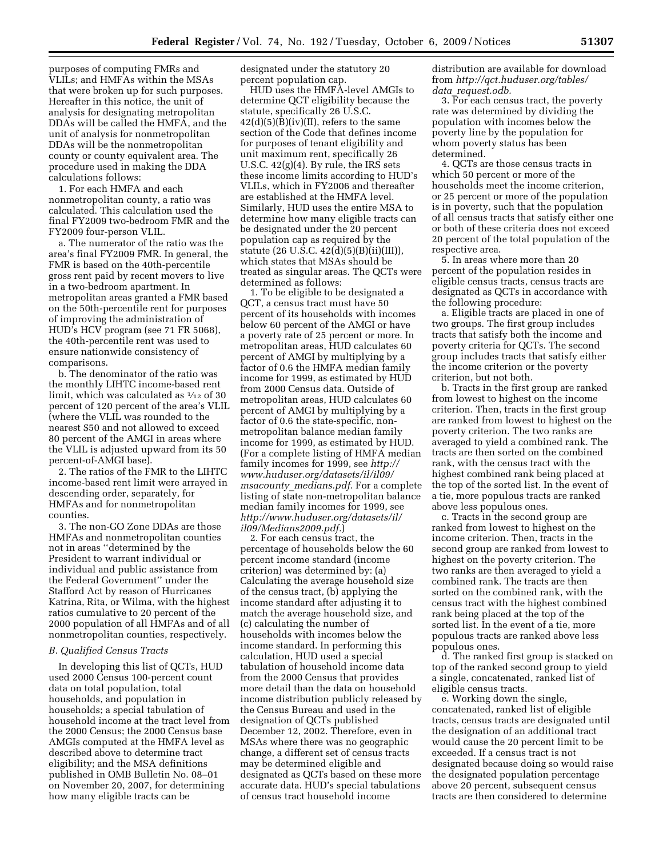purposes of computing FMRs and VLILs; and HMFAs within the MSAs that were broken up for such purposes. Hereafter in this notice, the unit of analysis for designating metropolitan DDAs will be called the HMFA, and the unit of analysis for nonmetropolitan DDAs will be the nonmetropolitan county or county equivalent area. The procedure used in making the DDA calculations follows:

1. For each HMFA and each nonmetropolitan county, a ratio was calculated. This calculation used the final FY2009 two-bedroom FMR and the FY2009 four-person VLIL.

a. The numerator of the ratio was the area's final FY2009 FMR. In general, the FMR is based on the 40th-percentile gross rent paid by recent movers to live in a two-bedroom apartment. In metropolitan areas granted a FMR based on the 50th-percentile rent for purposes of improving the administration of HUD's HCV program (see 71 FR 5068), the 40th-percentile rent was used to ensure nationwide consistency of comparisons.

b. The denominator of the ratio was the monthly LIHTC income-based rent limit, which was calculated as  $\frac{1}{12}$  of 30 percent of 120 percent of the area's VLIL (where the VLIL was rounded to the nearest \$50 and not allowed to exceed 80 percent of the AMGI in areas where the VLIL is adjusted upward from its 50 percent-of-AMGI base).

2. The ratios of the FMR to the LIHTC income-based rent limit were arrayed in descending order, separately, for HMFAs and for nonmetropolitan counties.

3. The non-GO Zone DDAs are those HMFAs and nonmetropolitan counties not in areas ''determined by the President to warrant individual or individual and public assistance from the Federal Government'' under the Stafford Act by reason of Hurricanes Katrina, Rita, or Wilma, with the highest ratios cumulative to 20 percent of the 2000 population of all HMFAs and of all nonmetropolitan counties, respectively.

## *B. Qualified Census Tracts*

In developing this list of QCTs, HUD used 2000 Census 100-percent count data on total population, total households, and population in households; a special tabulation of household income at the tract level from the 2000 Census; the 2000 Census base AMGIs computed at the HMFA level as described above to determine tract eligibility; and the MSA definitions published in OMB Bulletin No. 08–01 on November 20, 2007, for determining how many eligible tracts can be

designated under the statutory 20 percent population cap.

HUD uses the HMFA-level AMGIs to determine QCT eligibility because the statute, specifically 26 U.S.C.  $42(d)(5)(B)(iv)(II)$ , refers to the same section of the Code that defines income for purposes of tenant eligibility and unit maximum rent, specifically 26 U.S.C. 42(g)(4). By rule, the IRS sets these income limits according to HUD's VLILs, which in FY2006 and thereafter are established at the HMFA level. Similarly, HUD uses the entire MSA to determine how many eligible tracts can be designated under the 20 percent population cap as required by the statute (26 U.S.C. 42(d)(5)(B)(ii)(III)), which states that MSAs should be treated as singular areas. The QCTs were determined as follows:

1. To be eligible to be designated a QCT, a census tract must have 50 percent of its households with incomes below 60 percent of the AMGI or have a poverty rate of 25 percent or more. In metropolitan areas, HUD calculates 60 percent of AMGI by multiplying by a factor of 0.6 the HMFA median family income for 1999, as estimated by HUD from 2000 Census data. Outside of metropolitan areas, HUD calculates 60 percent of AMGI by multiplying by a factor of 0.6 the state-specific, nonmetropolitan balance median family income for 1999, as estimated by HUD. (For a complete listing of HMFA median family incomes for 1999, see *http:// www.huduser.org/datasets/il/il09/ msacounty*\_*medians.pdf.* For a complete listing of state non-metropolitan balance median family incomes for 1999, see *http://www.huduser.org/datasets/il/ il09/Medians2009.pdf.*)

2. For each census tract, the percentage of households below the 60 percent income standard (income criterion) was determined by: (a) Calculating the average household size of the census tract, (b) applying the income standard after adjusting it to match the average household size, and (c) calculating the number of households with incomes below the income standard. In performing this calculation, HUD used a special tabulation of household income data from the 2000 Census that provides more detail than the data on household income distribution publicly released by the Census Bureau and used in the designation of QCTs published December 12, 2002. Therefore, even in MSAs where there was no geographic change, a different set of census tracts may be determined eligible and designated as QCTs based on these more accurate data. HUD's special tabulations of census tract household income

distribution are available for download from *http://qct.huduser.org/tables/ data*\_*request.odb.* 

3. For each census tract, the poverty rate was determined by dividing the population with incomes below the poverty line by the population for whom poverty status has been determined.

4. QCTs are those census tracts in which 50 percent or more of the households meet the income criterion, or 25 percent or more of the population is in poverty, such that the population of all census tracts that satisfy either one or both of these criteria does not exceed 20 percent of the total population of the respective area.

5. In areas where more than 20 percent of the population resides in eligible census tracts, census tracts are designated as QCTs in accordance with the following procedure:

a. Eligible tracts are placed in one of two groups. The first group includes tracts that satisfy both the income and poverty criteria for QCTs. The second group includes tracts that satisfy either the income criterion or the poverty criterion, but not both.

b. Tracts in the first group are ranked from lowest to highest on the income criterion. Then, tracts in the first group are ranked from lowest to highest on the poverty criterion. The two ranks are averaged to yield a combined rank. The tracts are then sorted on the combined rank, with the census tract with the highest combined rank being placed at the top of the sorted list. In the event of a tie, more populous tracts are ranked above less populous ones.

c. Tracts in the second group are ranked from lowest to highest on the income criterion. Then, tracts in the second group are ranked from lowest to highest on the poverty criterion. The two ranks are then averaged to yield a combined rank. The tracts are then sorted on the combined rank, with the census tract with the highest combined rank being placed at the top of the sorted list. In the event of a tie, more populous tracts are ranked above less populous ones.

d. The ranked first group is stacked on top of the ranked second group to yield a single, concatenated, ranked list of eligible census tracts.

e. Working down the single, concatenated, ranked list of eligible tracts, census tracts are designated until the designation of an additional tract would cause the 20 percent limit to be exceeded. If a census tract is not designated because doing so would raise the designated population percentage above 20 percent, subsequent census tracts are then considered to determine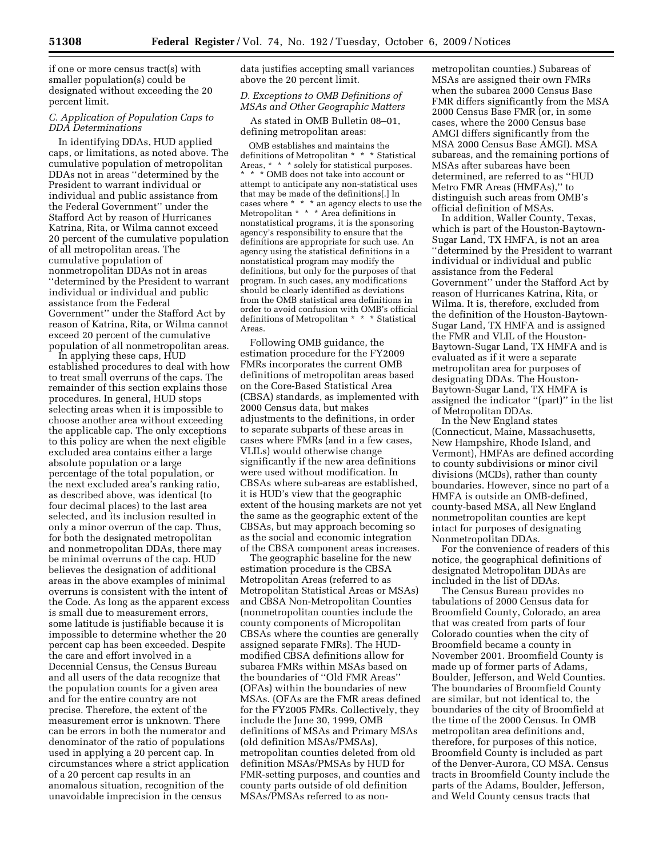if one or more census tract(s) with smaller population(s) could be designated without exceeding the 20 percent limit.

# *C. Application of Population Caps to DDA Determinations*

In identifying DDAs, HUD applied caps, or limitations, as noted above. The cumulative population of metropolitan DDAs not in areas ''determined by the President to warrant individual or individual and public assistance from the Federal Government'' under the Stafford Act by reason of Hurricanes Katrina, Rita, or Wilma cannot exceed 20 percent of the cumulative population of all metropolitan areas. The cumulative population of nonmetropolitan DDAs not in areas ''determined by the President to warrant individual or individual and public assistance from the Federal Government'' under the Stafford Act by reason of Katrina, Rita, or Wilma cannot exceed 20 percent of the cumulative population of all nonmetropolitan areas.

In applying these caps, HUD established procedures to deal with how to treat small overruns of the caps. The remainder of this section explains those procedures. In general, HUD stops selecting areas when it is impossible to choose another area without exceeding the applicable cap. The only exceptions to this policy are when the next eligible excluded area contains either a large absolute population or a large percentage of the total population, or the next excluded area's ranking ratio, as described above, was identical (to four decimal places) to the last area selected, and its inclusion resulted in only a minor overrun of the cap. Thus, for both the designated metropolitan and nonmetropolitan DDAs, there may be minimal overruns of the cap. HUD believes the designation of additional areas in the above examples of minimal overruns is consistent with the intent of the Code. As long as the apparent excess is small due to measurement errors, some latitude is justifiable because it is impossible to determine whether the 20 percent cap has been exceeded. Despite the care and effort involved in a Decennial Census, the Census Bureau and all users of the data recognize that the population counts for a given area and for the entire country are not precise. Therefore, the extent of the measurement error is unknown. There can be errors in both the numerator and denominator of the ratio of populations used in applying a 20 percent cap. In circumstances where a strict application of a 20 percent cap results in an anomalous situation, recognition of the unavoidable imprecision in the census

data justifies accepting small variances above the 20 percent limit.

# *D. Exceptions to OMB Definitions of MSAs and Other Geographic Matters*

As stated in OMB Bulletin 08–01, defining metropolitan areas:

OMB establishes and maintains the definitions of Metropolitan \* \* \* Statistical Areas, \* \* \* solely for statistical purposes. \* \* \* OMB does not take into account or attempt to anticipate any non-statistical uses that may be made of the definitions[.] In cases where \* \* \* an agency elects to use the Metropolitan \* \* \* Area definitions in nonstatistical programs, it is the sponsoring agency's responsibility to ensure that the definitions are appropriate for such use. An agency using the statistical definitions in a nonstatistical program may modify the definitions, but only for the purposes of that program. In such cases, any modifications should be clearly identified as deviations from the OMB statistical area definitions in order to avoid confusion with OMB's official definitions of Metropolitan \* \* \* Statistical Areas.

Following OMB guidance, the estimation procedure for the FY2009 FMRs incorporates the current OMB definitions of metropolitan areas based on the Core-Based Statistical Area (CBSA) standards, as implemented with 2000 Census data, but makes adjustments to the definitions, in order to separate subparts of these areas in cases where FMRs (and in a few cases, VLILs) would otherwise change significantly if the new area definitions were used without modification. In CBSAs where sub-areas are established, it is HUD's view that the geographic extent of the housing markets are not yet the same as the geographic extent of the CBSAs, but may approach becoming so as the social and economic integration of the CBSA component areas increases.

The geographic baseline for the new estimation procedure is the CBSA Metropolitan Areas (referred to as Metropolitan Statistical Areas or MSAs) and CBSA Non-Metropolitan Counties (nonmetropolitan counties include the county components of Micropolitan CBSAs where the counties are generally assigned separate FMRs). The HUDmodified CBSA definitions allow for subarea FMRs within MSAs based on the boundaries of ''Old FMR Areas'' (OFAs) within the boundaries of new MSAs. (OFAs are the FMR areas defined for the FY2005 FMRs. Collectively, they include the June 30, 1999, OMB definitions of MSAs and Primary MSAs (old definition MSAs/PMSAs), metropolitan counties deleted from old definition MSAs/PMSAs by HUD for FMR-setting purposes, and counties and county parts outside of old definition MSAs/PMSAs referred to as non-

metropolitan counties.) Subareas of MSAs are assigned their own FMRs when the subarea 2000 Census Base FMR differs significantly from the MSA 2000 Census Base FMR (or, in some cases, where the 2000 Census base AMGI differs significantly from the MSA 2000 Census Base AMGI). MSA subareas, and the remaining portions of MSAs after subareas have been determined, are referred to as ''HUD Metro FMR Areas (HMFAs),'' to distinguish such areas from OMB's official definition of MSAs.

In addition, Waller County, Texas, which is part of the Houston-Baytown-Sugar Land, TX HMFA, is not an area ''determined by the President to warrant individual or individual and public assistance from the Federal Government'' under the Stafford Act by reason of Hurricanes Katrina, Rita, or Wilma. It is, therefore, excluded from the definition of the Houston-Baytown-Sugar Land, TX HMFA and is assigned the FMR and VLIL of the Houston-Baytown-Sugar Land, TX HMFA and is evaluated as if it were a separate metropolitan area for purposes of designating DDAs. The Houston-Baytown-Sugar Land, TX HMFA is assigned the indicator ''(part)'' in the list of Metropolitan DDAs.

In the New England states (Connecticut, Maine, Massachusetts, New Hampshire, Rhode Island, and Vermont), HMFAs are defined according to county subdivisions or minor civil divisions (MCDs), rather than county boundaries. However, since no part of a HMFA is outside an OMB-defined, county-based MSA, all New England nonmetropolitan counties are kept intact for purposes of designating Nonmetropolitan DDAs.

For the convenience of readers of this notice, the geographical definitions of designated Metropolitan DDAs are included in the list of DDAs.

The Census Bureau provides no tabulations of 2000 Census data for Broomfield County, Colorado, an area that was created from parts of four Colorado counties when the city of Broomfield became a county in November 2001. Broomfield County is made up of former parts of Adams, Boulder, Jefferson, and Weld Counties. The boundaries of Broomfield County are similar, but not identical to, the boundaries of the city of Broomfield at the time of the 2000 Census. In OMB metropolitan area definitions and, therefore, for purposes of this notice, Broomfield County is included as part of the Denver-Aurora, CO MSA. Census tracts in Broomfield County include the parts of the Adams, Boulder, Jefferson, and Weld County census tracts that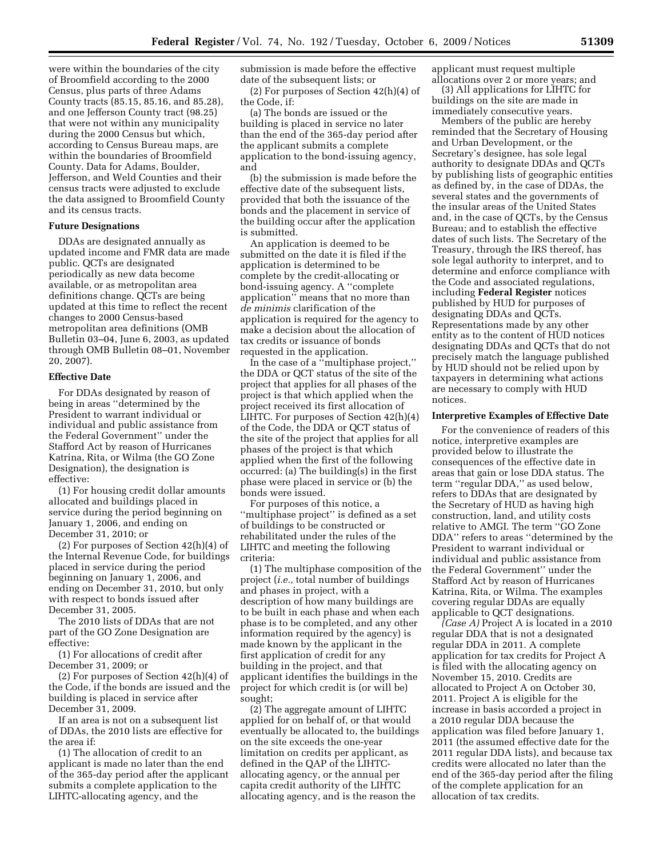were within the boundaries of the city of Broomfield according to the 2000 Census, plus parts of three Adams County tracts (85.15, 85.16, and 85.28), and one Jefferson County tract (98.25) that were not within any municipality during the 2000 Census but which, according to Census Bureau maps, are within the boundaries of Broomfield County. Data for Adams, Boulder, Jefferson, and Weld Counties and their census tracts were adjusted to exclude the data assigned to Broomfield County and its census tracts.

# **Future Designations**

DDAs are designated annually as updated income and FMR data are made public. QCTs are designated periodically as new data become available, or as metropolitan area definitions change. QCTs are being updated at this time to reflect the recent changes to 2000 Census-based metropolitan area definitions (OMB Bulletin 03–04, June 6, 2003, as updated through OMB Bulletin 08–01, November 20, 2007).

### **Effective Date**

For DDAs designated by reason of being in areas ''determined by the President to warrant individual or individual and public assistance from the Federal Government'' under the Stafford Act by reason of Hurricanes Katrina, Rita, or Wilma (the GO Zone Designation), the designation is effective:

(1) For housing credit dollar amounts allocated and buildings placed in service during the period beginning on January 1, 2006, and ending on December 31, 2010; or

(2) For purposes of Section 42(h)(4) of the Internal Revenue Code, for buildings placed in service during the period beginning on January 1, 2006, and ending on December 31, 2010, but only with respect to bonds issued after December 31, 2005.

The 2010 lists of DDAs that are not part of the GO Zone Designation are effective:

(1) For allocations of credit after December 31, 2009; or

(2) For purposes of Section 42(h)(4) of the Code, if the bonds are issued and the building is placed in service after December 31, 2009.

If an area is not on a subsequent list of DDAs, the 2010 lists are effective for the area if:

(1) The allocation of credit to an applicant is made no later than the end of the 365-day period after the applicant submits a complete application to the LIHTC-allocating agency, and the

submission is made before the effective date of the subsequent lists; or

(2) For purposes of Section 42(h)(4) of the Code, if:

(a) The bonds are issued or the building is placed in service no later than the end of the 365-day period after the applicant submits a complete application to the bond-issuing agency, and

(b) the submission is made before the effective date of the subsequent lists, provided that both the issuance of the bonds and the placement in service of the building occur after the application is submitted.

An application is deemed to be submitted on the date it is filed if the application is determined to be complete by the credit-allocating or bond-issuing agency. A ''complete application'' means that no more than *de minimis* clarification of the application is required for the agency to make a decision about the allocation of tax credits or issuance of bonds requested in the application.

In the case of a ''multiphase project,'' the DDA or QCT status of the site of the project that applies for all phases of the project is that which applied when the project received its first allocation of LIHTC. For purposes of Section 42(h)(4) of the Code, the DDA or QCT status of the site of the project that applies for all phases of the project is that which applied when the first of the following occurred: (a) The building(s) in the first phase were placed in service or (b) the bonds were issued.

For purposes of this notice, a ''multiphase project'' is defined as a set of buildings to be constructed or rehabilitated under the rules of the LIHTC and meeting the following criteria:

(1) The multiphase composition of the project (*i.e.,* total number of buildings and phases in project, with a description of how many buildings are to be built in each phase and when each phase is to be completed, and any other information required by the agency) is made known by the applicant in the first application of credit for any building in the project, and that applicant identifies the buildings in the project for which credit is (or will be) sought;

(2) The aggregate amount of LIHTC applied for on behalf of, or that would eventually be allocated to, the buildings on the site exceeds the one-year limitation on credits per applicant, as defined in the QAP of the LIHTCallocating agency, or the annual per capita credit authority of the LIHTC allocating agency, and is the reason the

applicant must request multiple allocations over 2 or more years; and

(3) All applications for LIHTC for buildings on the site are made in immediately consecutive years.

Members of the public are hereby reminded that the Secretary of Housing and Urban Development, or the Secretary's designee, has sole legal authority to designate DDAs and QCTs by publishing lists of geographic entities as defined by, in the case of DDAs, the several states and the governments of the insular areas of the United States and, in the case of QCTs, by the Census Bureau; and to establish the effective dates of such lists. The Secretary of the Treasury, through the IRS thereof, has sole legal authority to interpret, and to determine and enforce compliance with the Code and associated regulations, including **Federal Register** notices published by HUD for purposes of designating DDAs and QCTs. Representations made by any other entity as to the content of HUD notices designating DDAs and QCTs that do not precisely match the language published by HUD should not be relied upon by taxpayers in determining what actions are necessary to comply with HUD notices.

### **Interpretive Examples of Effective Date**

For the convenience of readers of this notice, interpretive examples are provided below to illustrate the consequences of the effective date in areas that gain or lose DDA status. The term ''regular DDA,'' as used below, refers to DDAs that are designated by the Secretary of HUD as having high construction, land, and utility costs relative to AMGI. The term ''GO Zone DDA'' refers to areas ''determined by the President to warrant individual or individual and public assistance from the Federal Government'' under the Stafford Act by reason of Hurricanes Katrina, Rita, or Wilma. The examples covering regular DDAs are equally applicable to QCT designations.

*(Case A)* Project A is located in a 2010 regular DDA that is not a designated regular DDA in 2011. A complete application for tax credits for Project A is filed with the allocating agency on November 15, 2010. Credits are allocated to Project A on October 30, 2011. Project A is eligible for the increase in basis accorded a project in a 2010 regular DDA because the application was filed before January 1, 2011 (the assumed effective date for the 2011 regular DDA lists), and because tax credits were allocated no later than the end of the 365-day period after the filing of the complete application for an allocation of tax credits.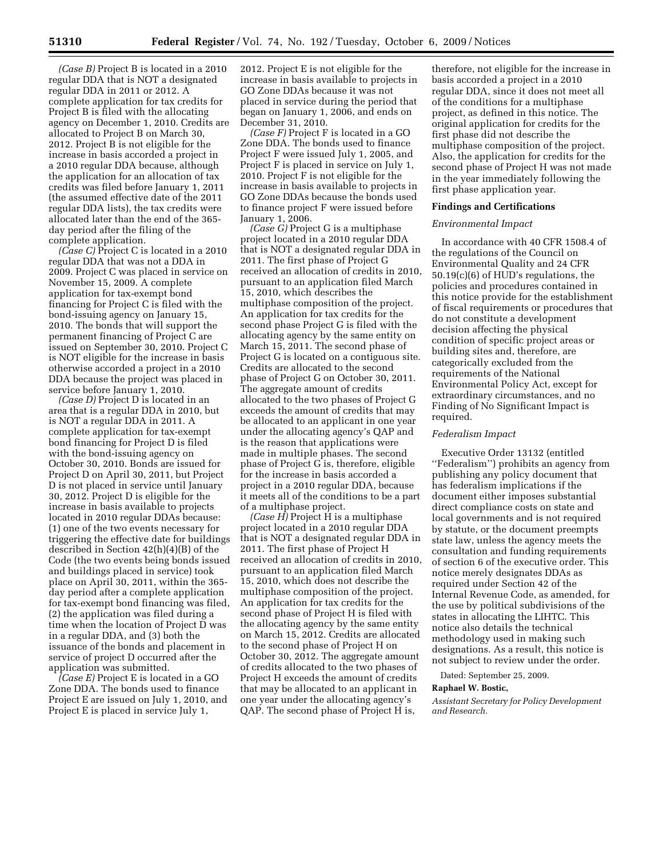*(Case B)* Project B is located in a 2010 regular DDA that is NOT a designated regular DDA in 2011 or 2012. A complete application for tax credits for Project B is filed with the allocating agency on December 1, 2010. Credits are allocated to Project B on March 30, 2012. Project B is not eligible for the increase in basis accorded a project in a 2010 regular DDA because, although the application for an allocation of tax credits was filed before January 1, 2011 (the assumed effective date of the 2011 regular DDA lists), the tax credits were allocated later than the end of the 365 day period after the filing of the complete application.

*(Case C)* Project C is located in a 2010 regular DDA that was not a DDA in 2009. Project C was placed in service on November 15, 2009. A complete application for tax-exempt bond financing for Project C is filed with the bond-issuing agency on January 15, 2010. The bonds that will support the permanent financing of Project C are issued on September 30, 2010. Project C is NOT eligible for the increase in basis otherwise accorded a project in a 2010 DDA because the project was placed in service before January 1, 2010.

*(Case D)* Project D is located in an area that is a regular DDA in 2010, but is NOT a regular DDA in 2011. A complete application for tax-exempt bond financing for Project D is filed with the bond-issuing agency on October 30, 2010. Bonds are issued for Project D on April 30, 2011, but Project D is not placed in service until January 30, 2012. Project D is eligible for the increase in basis available to projects located in 2010 regular DDAs because: (1) one of the two events necessary for triggering the effective date for buildings described in Section 42(h)(4)(B) of the Code (the two events being bonds issued and buildings placed in service) took place on April 30, 2011, within the 365 day period after a complete application for tax-exempt bond financing was filed, (2) the application was filed during a time when the location of Project D was in a regular DDA, and (3) both the issuance of the bonds and placement in service of project D occurred after the application was submitted.

*(Case E)* Project E is located in a GO Zone DDA. The bonds used to finance Project E are issued on July 1, 2010, and Project E is placed in service July 1,

2012. Project E is not eligible for the increase in basis available to projects in GO Zone DDAs because it was not placed in service during the period that began on January 1, 2006, and ends on December 31, 2010.

*(Case F)* Project F is located in a GO Zone DDA. The bonds used to finance Project F were issued July 1, 2005, and Project F is placed in service on July 1, 2010. Project F is not eligible for the increase in basis available to projects in GO Zone DDAs because the bonds used to finance project F were issued before January 1, 2006.

*(Case G)* Project G is a multiphase project located in a 2010 regular DDA that is NOT a designated regular DDA in 2011. The first phase of Project G received an allocation of credits in 2010, pursuant to an application filed March 15, 2010, which describes the multiphase composition of the project. An application for tax credits for the second phase Project G is filed with the allocating agency by the same entity on March 15, 2011. The second phase of Project G is located on a contiguous site. Credits are allocated to the second phase of Project G on October 30, 2011. The aggregate amount of credits allocated to the two phases of Project G exceeds the amount of credits that may be allocated to an applicant in one year under the allocating agency's QAP and is the reason that applications were made in multiple phases. The second phase of Project G is, therefore, eligible for the increase in basis accorded a project in a 2010 regular DDA, because it meets all of the conditions to be a part of a multiphase project.

*(Case H)* Project H is a multiphase project located in a 2010 regular DDA that is NOT a designated regular DDA in 2011. The first phase of Project H received an allocation of credits in 2010, pursuant to an application filed March 15, 2010, which does not describe the multiphase composition of the project. An application for tax credits for the second phase of Project H is filed with the allocating agency by the same entity on March 15, 2012. Credits are allocated to the second phase of Project H on October 30, 2012. The aggregate amount of credits allocated to the two phases of Project H exceeds the amount of credits that may be allocated to an applicant in one year under the allocating agency's QAP. The second phase of Project H is,

therefore, not eligible for the increase in basis accorded a project in a 2010 regular DDA, since it does not meet all of the conditions for a multiphase project, as defined in this notice. The original application for credits for the first phase did not describe the multiphase composition of the project. Also, the application for credits for the second phase of Project H was not made in the year immediately following the first phase application year.

### **Findings and Certifications**

# *Environmental Impact*

In accordance with 40 CFR 1508.4 of the regulations of the Council on Environmental Quality and 24 CFR 50.19(c)(6) of HUD's regulations, the policies and procedures contained in this notice provide for the establishment of fiscal requirements or procedures that do not constitute a development decision affecting the physical condition of specific project areas or building sites and, therefore, are categorically excluded from the requirements of the National Environmental Policy Act, except for extraordinary circumstances, and no Finding of No Significant Impact is required.

### *Federalism Impact*

Executive Order 13132 (entitled ''Federalism'') prohibits an agency from publishing any policy document that has federalism implications if the document either imposes substantial direct compliance costs on state and local governments and is not required by statute, or the document preempts state law, unless the agency meets the consultation and funding requirements of section 6 of the executive order. This notice merely designates DDAs as required under Section 42 of the Internal Revenue Code, as amended, for the use by political subdivisions of the states in allocating the LIHTC. This notice also details the technical methodology used in making such designations. As a result, this notice is not subject to review under the order.

Dated: September 25, 2009.

### **Raphael W. Bostic,**

*Assistant Secretary for Policy Development and Research.*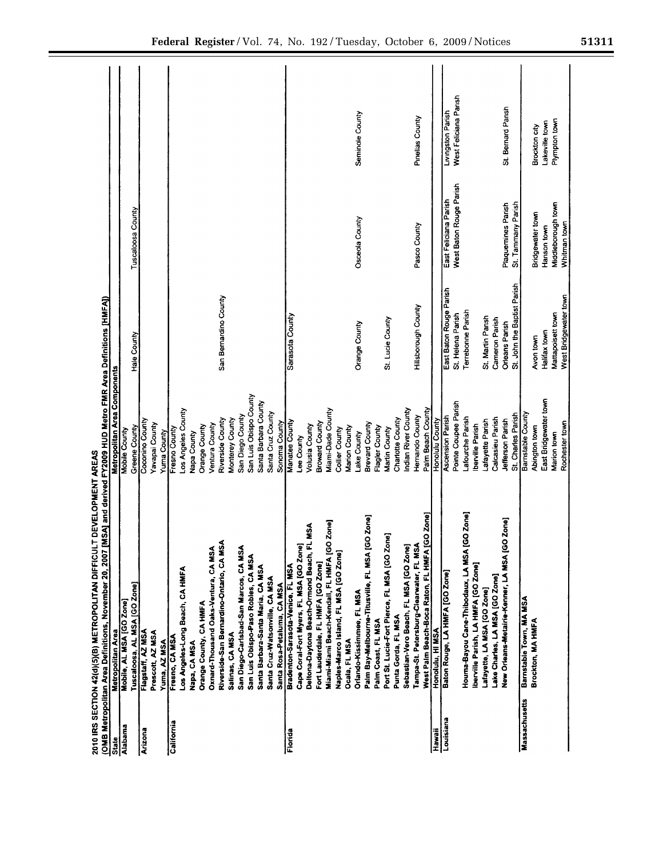|                      | 2010 IRS SECTION 42(d)(5)(B) METROPOLITAN DIFFICULT DEVELOPMENT AREAS<br>(OMB Metropolitan Area Definitions, November 20, 2007) | MSA] and derived FY2009 HUD Metro FMR Area Definitions [HMFA]) |                             |                         |                       |
|----------------------|---------------------------------------------------------------------------------------------------------------------------------|----------------------------------------------------------------|-----------------------------|-------------------------|-----------------------|
| State                | Metropolitan Area                                                                                                               | Metropolitan Area Components                                   |                             |                         |                       |
| Alabama              | Mobile, AL MSA [GO Zone]                                                                                                        | Mobile County                                                  |                             |                         |                       |
|                      | Tuscaloosa, AL MSA [GO Zone]                                                                                                    | Greene County                                                  | Hale County                 | Tuscaloosa County       |                       |
| Arizona              | Flagstaff, AZ MSA                                                                                                               | Coconino County                                                |                             |                         |                       |
|                      | Prescott, AZ MSA                                                                                                                | Yavapai County                                                 |                             |                         |                       |
|                      | Yuma, AZ MSA                                                                                                                    | Yuma County                                                    |                             |                         |                       |
| California           | Fresno, CA MSA                                                                                                                  | Fresno County                                                  |                             |                         |                       |
|                      | Los Angeles-Long Beach, CA HMFA                                                                                                 | Los Angeles County                                             |                             |                         |                       |
|                      | Napa, CA MSA                                                                                                                    | Napa County                                                    |                             |                         |                       |
|                      | Orange County, CA HMFA                                                                                                          | Orange County                                                  |                             |                         |                       |
|                      | Oxnard-Thousand Oaks-Ventura, CA MSA                                                                                            | Ventura County                                                 |                             |                         |                       |
|                      | Riverside-San Bernardino-Ontario, CA MSA                                                                                        | Riverside County                                               | San Bernardino County       |                         |                       |
|                      | Salinas, CA MSA                                                                                                                 | Monterey County                                                |                             |                         |                       |
|                      | San Diego-Carlsbad-San Marcos, CA MSA                                                                                           | San Diego County                                               |                             |                         |                       |
|                      | San Luis Obispo-Paso Robles, CA MSA                                                                                             | San Luis Obispo County                                         |                             |                         |                       |
|                      | Santa Barbara-Santa Maria, CA MSA                                                                                               | Santa Barbara County                                           |                             |                         |                       |
|                      | Santa Cruz-Watsonville, CA MSA                                                                                                  | Santa Cruz County                                              |                             |                         |                       |
|                      | Santa Rosa-Petaluma, CA MSA                                                                                                     | Sonoma County                                                  |                             |                         |                       |
| Florida              | Bradenton-Sarasota-Venice, FL MSA                                                                                               | Manatee County                                                 | Sarasota County             |                         |                       |
|                      | Cape Coral-Fort Myers, FL MSA [GO Zone]                                                                                         | Lee County                                                     |                             |                         |                       |
|                      | LMSA<br>Deltona-Daytona Beach-Ormond Beach, Fl                                                                                  | Volusia County                                                 |                             |                         |                       |
|                      | Fort Lauderdale, FL HMFA [GO Zone]                                                                                              | <b>Broward County</b>                                          |                             |                         |                       |
|                      | Miami-Miami Beach-Kendall, FL HMFA [GO Zone]                                                                                    | Miami-Dade County                                              |                             |                         |                       |
|                      | Naples-Marco Island, FL MSA [GO Zone]                                                                                           | Collier County                                                 |                             |                         |                       |
|                      | Ocala, FL MSA                                                                                                                   | Marion County                                                  |                             |                         |                       |
|                      | Orlando-Kissimmee, FL MSA                                                                                                       | Lake County                                                    | Orange County               | Osceola County          | Seminole County       |
|                      | Palm Bay-Melbourne-Titusville, FL MSA [GO Zone]                                                                                 | <b>Brevard County</b>                                          |                             |                         |                       |
|                      | Palm Coast, FL MSA                                                                                                              | Flagler County                                                 |                             |                         |                       |
|                      | Port St. Lucie-Fort Pierce, FL MSA [GO Zone]                                                                                    | Martin County                                                  | St. Lucie County            |                         |                       |
|                      | Punta Gorda, FL MSA                                                                                                             | Charlotte County                                               |                             |                         |                       |
|                      | Sebastian-Vero Beach, FL MSA [GO Zone]                                                                                          | Indian River County                                            |                             |                         |                       |
|                      | Tampa-St. Petersburg-Clearwater, FL MSA                                                                                         | Hemando County                                                 | Hillsborough County         | Pasco County            | Pinellas County       |
|                      | West Palm Beach-Boca Raton, FL HMFA [GO Zone]                                                                                   | Palm Beach County                                              |                             |                         |                       |
| Hawaii               | Honolulu, HI MSA                                                                                                                | Honolulu County                                                |                             |                         |                       |
| Louisiana            | Baton Rouge, LA HMFA [GO Zone]                                                                                                  | <b>Ascension Parish</b>                                        | East Baton Rouge Parish     | East Feliciana Parish   | Livingston Parish     |
|                      |                                                                                                                                 | Pointe Coupee Parish                                           | St. Helena Parish           | West Baton Rouge Parish | West Feliciana Parish |
|                      | GO Zone]<br>Houma-Bayou Cane-Thibodaux, LA MSA [1                                                                               | Lafourche Parish                                               | Terrebonne Parish           |                         |                       |
|                      | Iberville Parish, LA HMFA [GO Zone]                                                                                             | Iberville Parish                                               |                             |                         |                       |
|                      | Lafayette, LA MSA [GO Zone]                                                                                                     | afayette Parish                                                | St. Martin Parish           |                         |                       |
|                      | Lake Charles, LA MSA [GO Zone]                                                                                                  | Calcasieu Parish                                               | Cameron Parish              |                         |                       |
|                      | New Orleans-Metairie-Kenner, LA MSA [GO Zone]                                                                                   | Jefferson Parish                                               | Orleans Parish              | Plaquemines Parish      | St. Bernard Parish    |
|                      |                                                                                                                                 | St. Charles Parish                                             | St. John the Baptist Parish | St. Tammany Parish      |                       |
| <b>Massachusetts</b> | Barnstable Town, MA MSA                                                                                                         | Barnstable County                                              |                             |                         |                       |
|                      | Brockton, MA HMFA                                                                                                               | Abington town                                                  | Avon town                   | Bridgewater town        | <b>Brockton city</b>  |
|                      |                                                                                                                                 | East Bridgewater town                                          | Halifax town                | Hanson town             | Lakeville town        |
|                      |                                                                                                                                 | Marion town                                                    | Mattapoisett town           | Middleborough town      | Plympton town         |
|                      |                                                                                                                                 | Rochester town                                                 | West Bridgewater town       | Whitman town            |                       |
|                      |                                                                                                                                 |                                                                |                             |                         |                       |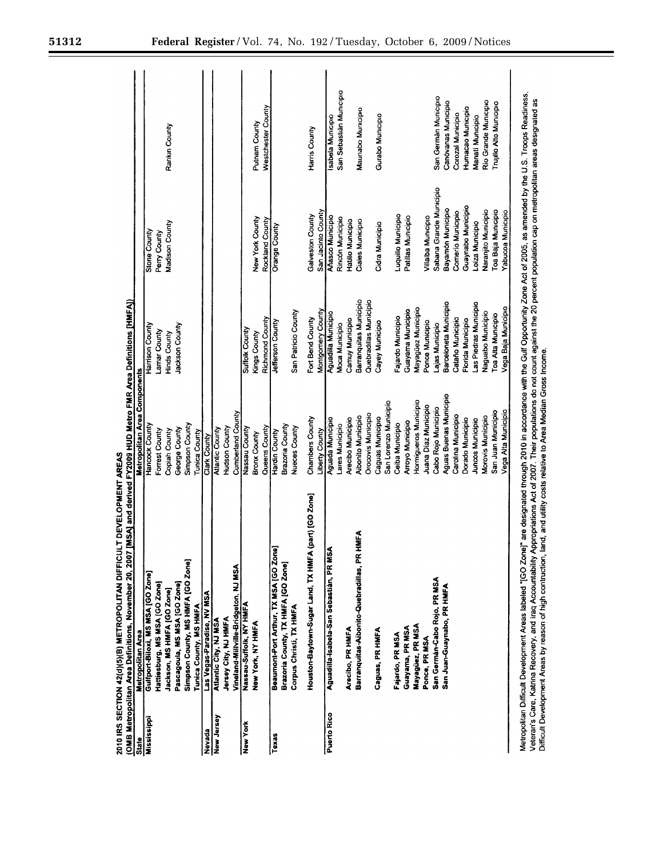| State       | Metropolitan Area                                     | Metropolitan Area Components |                            |                         |                         |
|-------------|-------------------------------------------------------|------------------------------|----------------------------|-------------------------|-------------------------|
| Mississippi | Gulfport-Biloxi, MS MSA [GO Zone]                     | Hancock County               | Harrison County            | Stone County            |                         |
|             | Hattiesburg, MS MSA [GO Zone]                         | Forrest County               | Lamar County               | Perry County            |                         |
|             | Jackson, MS HMFA [GO Zone]                            | Copian County                | Hinds County               | Madison County          | Rankın County           |
|             | Pascagoula, MS MSA [GO Zone]                          | George County                | Jackson County             |                         |                         |
|             | Simpson County, MS HMFA [GO Zone]                     | Simpson County               |                            |                         |                         |
|             | Tunica County, MS HMFA                                | Tunica County                |                            |                         |                         |
| Nevada      | Las Vegas-Paradise, NV MSA                            | Clark County                 |                            |                         |                         |
| New Jersey  | Atlantic City, NJ MSA                                 | Atlantic County              |                            |                         |                         |
|             | Jersey City, NJ HMFA                                  | Hudson County                |                            |                         |                         |
|             | Vineland-Millville-Bridgeton, NJ MSA                  | Cumberland County            |                            |                         |                         |
| New York    | Nassau-Suffolk, NY HMFA                               | Nassau County                | <b>Suffolk County</b>      |                         |                         |
|             | New York, NY HMFA                                     | <b>Bronx County</b>          | Kings County               | New York County         | Putnam County           |
|             |                                                       | Queens County                | Richmond County            | Rockland County         | Westchester County      |
| Texas       | Beaumont-Port Arthur, TX MSA [GO Zone]                | <b>Hardin County</b>         | Jefferson County           | Orange County           |                         |
|             | Brazoria County, TX HMFA [GO Zone]                    | Brazoria County              |                            |                         |                         |
|             | Corpus Christi, TX HMFA                               | Nueces County                | San Patricio County        |                         |                         |
|             | Houston-Baytown-Sugar Land, TX HMFA (part) [GO Zone]  | Chambers County              | Fort Bend County           | Galveston County        | Harris County           |
|             |                                                       | Liberty County               | Montgomery County          | San Jacinto County      |                         |
| Puerto Rico | Aguadilla-Isabela-San Sebastián, PR MSA               | <b>Aguada Municipio</b>      | <b>Aguadilla Municipio</b> | Añasco Municipio        | Isabela Municipio       |
|             |                                                       | Lares Municipio              | Moca Municipio             | Rincón Municipio        | San Sebastián Municipio |
|             | Arecibo, PR HMFA                                      | Arecibo Municipio            | Camuy Municipio            | Hatillo Municipio       |                         |
|             | <b>HMFA</b><br>Barranquitas-Aibonito-Quebradillas, PR | <b>Aibonito Municipio</b>    | Barranquitas Municipio     | <b>Ciales Municipio</b> | Maunabo Municipio       |
|             |                                                       | <b>Orocovis Municipio</b>    | Quebradillas Municipio     |                         |                         |
|             | Caguas, PR HMFA                                       | Caguas Municipio             | Cayey Municipio            | Cidra Municipio         | Gurabo Municipio        |
|             |                                                       | San Lorenzo Municipio        |                            |                         |                         |
|             | Fajardo, PR MSA                                       | Ceiba Municipio              | Fajardo Municipio          | Luquillo Municipio      |                         |
|             | Guayama, PR MSA                                       | Arroyo Municipio             | Guayama Municipio          | Patillas Municipio      |                         |
|             | Mayagüez, PR MSA                                      | Hormigueros Municipio        | Mayagüez Municipio         |                         |                         |
|             | Ponce, PR MSA                                         | Juana Díaz Municipio         | Ponce Municipio            | Villalba Municipio      |                         |
|             | San Germán-Cabo Rojo, PR MSA                          | Cabo Rojo Municipio          | ajas Municipio             | Sabana Grande Municipio | San Germán Municipio    |
|             | San Juan-Guaynabo, PR HMFA                            | Aguas Buenas Municipio       | Barceloneta Municipio      | Bayamón Municipio       | Canóvanas Municipio     |
|             |                                                       | Carolina Municipio           | Cataño Municipio           | Comerio Municipio       | Corozal Municipio       |
|             |                                                       | Dorado Municipio             | Florida Municipio          | Guaynabo Municipio      | Humacao Municipio       |
|             |                                                       | <b>Juncos Municipio</b>      | Las Piedras Municipio      | Loiza Municipio         | Manati Municipio        |
|             |                                                       | Morovis Municipio            | Naguabo Municipio          | Naranjito Municipio     | Rio Grande Municipio    |
|             |                                                       | San Juan Municipio           | Toa Alta Municipio         | Toa Baja Municipio      | Trujillo Alto Municipio |
|             |                                                       | Vega Alta Municipio          | Vega Baja Municipio        | Yabucoa Municipio       |                         |

2010 IRS SECTION 42(d)(5)(B) METROPOLITAN DIFFICULT DEVELOPMENT AREAS

Veteran's Care, Katima Recovery, and Iraq Accountability Appropriations Act of 2007. Their populations do not count against the 20 percent population cap on metropolitan areas designated as<br>Difficult Development Areas by r

-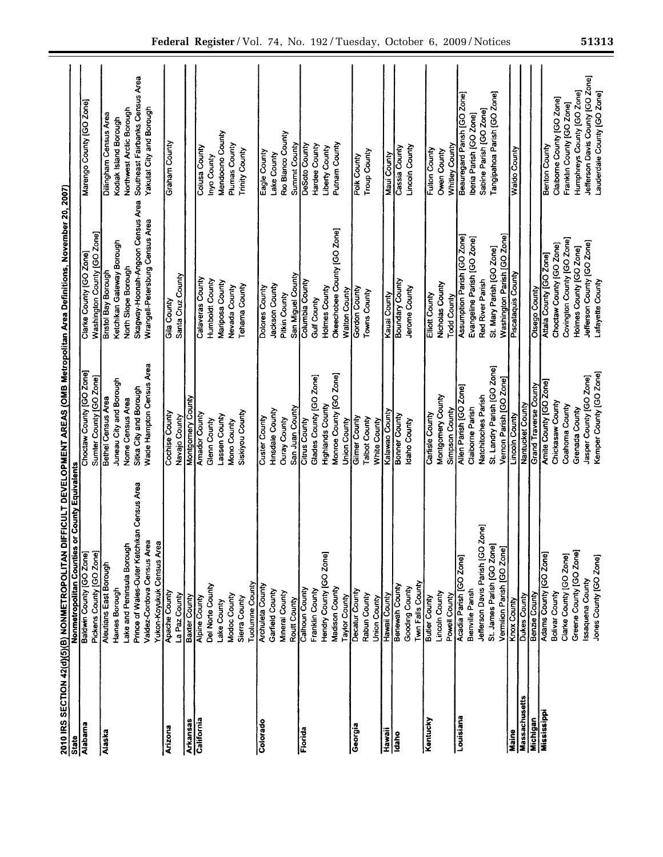| State         | <b>County Equivalents</b><br>Nonmetropolitan Counties or |                                                     |                                                        |                                                |
|---------------|----------------------------------------------------------|-----------------------------------------------------|--------------------------------------------------------|------------------------------------------------|
| Alabama       | Baldwin County [GO Zone]<br>Pickens County [GO Zone]     | Choctaw County [GO Zone]<br>Sumter County [GO Zone] | Washington County [GO Zone]<br>Clarke County [GO Zone] | Marengo County [GO Zone]                       |
| Alaska        | <b>Aleutians East Borough</b>                            | Bethel Census Area                                  | <b>Bristol Bay Borough</b>                             |                                                |
|               | Harnes Borough                                           | Juneau City and Borough                             | Ketchikan Gateway Borough                              | Dilingham Census Area<br>Kodiak Island Borough |
|               | Lake and Peninsula Borough                               | Nome Census Area                                    | North Slope Borough                                    | Northwest Arctic Borough                       |
|               | Prince of Wales-Outer Ketchikan Census Area              | Sitka City and Borough                              | Skagway-Hoonah-Angoon Census Area                      | Southeast Fairbanks Census Area                |
|               | Valdez-Cordova Census Area                               | Wade Hampton Census Area                            | Wrangell-Petersburg Census Area                        | Yakutat City and Borough                       |
| Arizona       | Yukon-Koyukuk Census Area<br><b>Apache County</b>        | Cochise County                                      | Gila County                                            | Graham County                                  |
|               | La Paz County                                            | Navajo County                                       | Santa Cruz County                                      |                                                |
| Arkansas      | <b>Baxter County</b>                                     | <b>Montgomery County</b>                            |                                                        |                                                |
| California    | <b>Alpine County</b>                                     | Amador County                                       | Calaveras County                                       | Colusa County                                  |
|               | Del Norte County                                         | Glenn County                                        | Humboldt County                                        | Inyo County                                    |
|               | Lake County                                              | Lassen County                                       | Mariposa County                                        | Mendocino County                               |
|               | Modoc County                                             | Mono County                                         | Nevada County                                          | Plumas County                                  |
|               | <b>Tuolumne County</b><br>Sierra County                  | Siskiyou County                                     | Tehama County                                          | <b>Trinity County</b>                          |
| Colorado      | <b>Archuleta County</b>                                  |                                                     |                                                        |                                                |
|               |                                                          | Custer County                                       | Dolores County                                         | Eagle County                                   |
|               | Garfield County<br>Mineral County                        | Hinsdale County                                     | Jackson County                                         | Lake County                                    |
|               | Routt County                                             | San Juan County<br><b>Ouray County</b>              | Pitkin County                                          | Rio Blanco County                              |
| Florida       |                                                          |                                                     | San Miguel County                                      | Summit County                                  |
|               | Calhoun County                                           | <b>Citrus County</b>                                | Columbia County                                        | <b>DeSoto County</b>                           |
|               | Franklin County                                          | Glades County [GO Zone]                             | Gulf County                                            | Hardee County                                  |
|               | Hendry County [GO Zone]                                  | <b>Highlands County</b>                             | Holmes County                                          | Liberty County                                 |
|               | Madison County                                           | Monroe County [GO Zone]                             | Okeechobee County [GO Zone]                            | Putnam County                                  |
|               | Taylor County                                            | Union County                                        | Watton County                                          |                                                |
| Georgia       | Decatur County                                           | Gilmer County                                       | Gordon County                                          | Polk County                                    |
|               | Rabun County                                             | <b>Taibot County</b>                                | Towns County                                           | <b>Troup County</b>                            |
|               | Union County                                             | White County<br>Kalawao County                      |                                                        |                                                |
| Hawaii        | Hawaii County                                            |                                                     | Kauai County                                           | Maui County                                    |
| ldaho         | <b>Benewah County</b>                                    | <b>Bonner County</b>                                | Boundary County                                        | Cassia County                                  |
|               | Gooding County                                           | daho County                                         | Jerome County                                          | <b>Lincoln County</b>                          |
|               | Twn Falls County                                         |                                                     |                                                        |                                                |
| Kentucky      | <b>Butler County</b>                                     | Cartisle County                                     | Elliott County                                         | <b>Fulton County</b>                           |
|               | Lincoln County                                           | Montgomery County                                   | Nicholas County                                        | Owen County                                    |
|               | Powell County                                            | Simpson County                                      | <b>Todd County</b>                                     | Whitley County                                 |
| Louisiana     | Acadia Parish [GO Zone]                                  | Allen Parish [GO Zone]                              | <b>Assumption Parish (GO Zone)</b>                     | Beauregard Pansh [GO Zone]                     |
|               | Bienville Pansh                                          | Claiborne Parish                                    | Evangeline Parish [GO Zone]                            | Iberia Parish [GO Zone]                        |
|               | Jefferson Davis Parish [GO Zone]                         | Natchitoches Parish                                 | Red River Parish                                       | Sabine Parish [GO Zone]                        |
|               | St. James Parish [GO Zone]                               | St. Landry Parish [GO Zone]                         | St. Mary Parish [GO Zone]                              | Tangipahoa Parish [GO Zone]                    |
|               | Vermilion Parish [GO Zone]                               | Vernon Parish [GO Zone]                             | Washington Parish [GO Zone]<br>Piscataquis County      |                                                |
| Maine         | Knox County                                              | <b>Lincoln County</b>                               |                                                        | <b>Waldo County</b>                            |
| Massachusetts | Dukes County                                             | Nantucket County                                    |                                                        |                                                |
| Michigan      | Benzie County                                            | Grand Traverse County                               | Otsego County                                          |                                                |
| Mississippi   | Adams County [GO Zone]                                   | Amite County [GO Zone]                              | Attala County [GO Zone]                                | Benton County                                  |
|               | <b>Bolivar County</b>                                    | Chickasaw County                                    | Choctaw County [GO Zone]                               | Claiborne County [GO Zone]                     |
|               | Clarke County [GO Zone]                                  | Coahoma County                                      | Covington County [GO Zone]                             | Franklin County [GO Zone]                      |
|               | Greene County [GO Zone]                                  | Grenada County                                      | Holmes County [GO Zone]                                | Humphreys County [GO Zone]                     |
|               | Issaquena County                                         | Jasper County [GO Zone]                             | Jefferson County [GO Zone]                             | Jefferson Davis County [GO Zone]               |
|               | Jones County [GO Zone]                                   | Kemper County [GO Zone]                             | Lafayette County                                       | Lauderdale County [GO Zone]                    |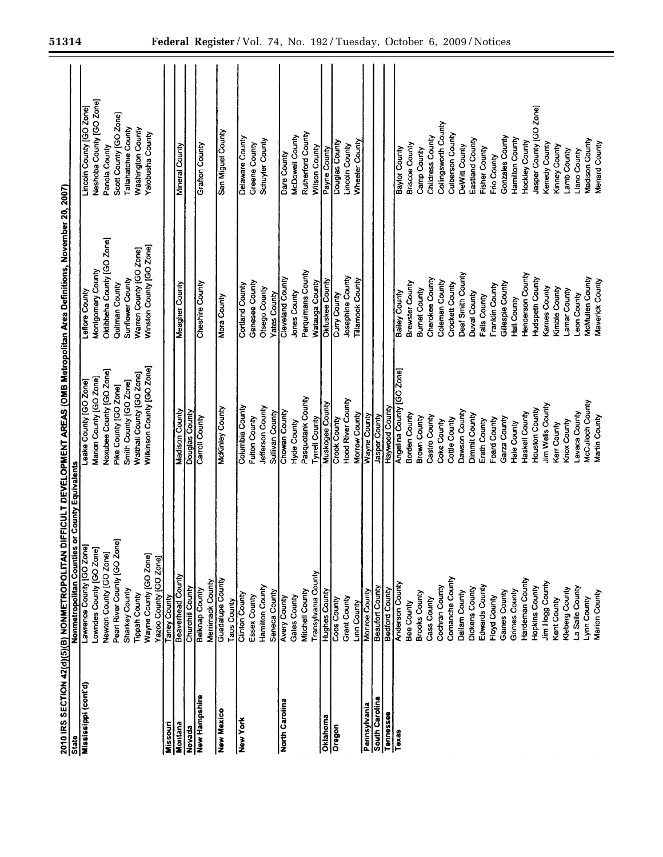| Mississippi (cont'd)<br>State | Nonmetropolitan Counties or County Equivalents |                                   |                            |                                |
|-------------------------------|------------------------------------------------|-----------------------------------|----------------------------|--------------------------------|
|                               | Lawrence County [GO Zone]                      | Leake County [GO Zone]            | Leflore County             | Lincoln County [GO Zone]       |
|                               | Lowndes County [GO Zone]                       | Marion County [GO Zone]           | Montgomery County          | Neshoba County [GO Zone]       |
|                               | Newton County [GO Zone]                        | Noxubee County [GO Zone]          | Oktibbeha County [GO Zone] | Panola County                  |
|                               | Pearl River County [GO Zone]                   | Pike County [GO Zone]             | Quitman County             | Scott County [GO Zone]         |
|                               | Sharkey County                                 | Smith County [GO Zone]            | Sunflower County           | Tallahatchie County            |
|                               | <b>Tippah County</b>                           | Waithail County [GO Zone]         | Warren County [GO Zone]    | Washington County              |
|                               | Wayne County [GO Zone]                         | Wilkinson County [GO Zone]        | Winston County [GO Zone]   | Yalobusha County               |
|                               | Yazoo County [GO Zone]                         |                                   |                            |                                |
| Missouri                      | Taney County                                   |                                   |                            |                                |
| Montana                       | Beaverhead County                              | Madison County                    | Meagher County             | Mineral County                 |
| Nevada                        | Churchill County                               | Douglas County                    |                            |                                |
| New Hampshire                 | Belknap County                                 | Carroll County                    | Cheshire County            | Grafton County                 |
|                               | Merrimack County                               |                                   |                            |                                |
| <b>New Mexico</b>             | Guadalupe County                               | <b>McKinley County</b>            | Mora County                | San Miguel County              |
|                               | Taos County                                    |                                   |                            |                                |
| New York                      | Clinton County                                 | Columbia County                   | <b>Cortland County</b>     | Delaware County                |
|                               | Essex County                                   | Fulton County                     | Genesee County             | Greene County                  |
|                               | Hamilton County                                | Jefferson County                  | Otsego County              | Schuyler County                |
|                               | Seneca County                                  | Sullivan County                   | <b>Yates County</b>        |                                |
| North Carolina                | <b>Avery County</b>                            | Chowan County                     | Cleveland County           | Dare County                    |
|                               | Gates County                                   | Hyde County                       | Jones County               | McDowell County                |
|                               | Mitchell County                                | Pasquotank County                 | Perquimans County          | <b>Rutherford County</b>       |
|                               | Transylvania County                            | Tyrrell County<br>Muskogee County | <b>Watauga County</b>      | Wilson County                  |
| Oklahoma                      | <b>Hughes County</b>                           |                                   | Oktuskee County            | Payne County<br>Douglas County |
| Oregon                        | Coos County                                    | Crook County                      | Curry County               |                                |
|                               | Grant County                                   | Hood River County                 | Josephine County           | <b>Lincoln County</b>          |
|                               | <b>Linn County</b>                             | Morrow County                     | <b>Tillamook County</b>    | Wheeler County                 |
| Pennsylvania                  | <b>Monroe County</b>                           | Wayne County<br>Jasper County     |                            |                                |
| South Carolina                | <b>Beaufort County</b>                         |                                   |                            |                                |
| Tennessee                     | <b>Bedford County</b>                          | Haywood County                    |                            |                                |
| Texas                         | <b>Anderson County</b>                         | Angelina County [GO Zone]         | Bailey County              | Baylor County                  |
|                               | <b>Bee County</b>                              | Borden County                     | Brewster County            | <b>Briscoe County</b>          |
|                               | <b>Brooks County</b>                           | Brown County                      | <b>Burnet County</b>       | Camp County                    |
|                               | Cass County                                    | Castro County                     | Cherokee County            | Childress County               |
|                               | Cochran County                                 | Coke County                       | Coleman County             | Collingsworth County           |
|                               | Comanche County                                | Cottle County                     | Crockett County            | Culberson County               |
|                               | Dallam County                                  | Dawson County                     | Deaf Smith County          | DeWitt County                  |
|                               | Dickens County                                 | Dimmit County                     | Duval County               | Eastland County                |
|                               | Edwards County                                 | Erath County                      | Falls County               | <b>Fisher County</b>           |
|                               | Floyd County                                   | Foard County                      | Franklin County            | Frio County                    |
|                               | Gaines County                                  | Garza County                      | Gillespie County           | Gonzales County                |
|                               | Grimes County                                  | Hale County                       | Hall County                | Hamilton County                |
|                               | Hardeman County                                | Haskell County                    | Henderson County           | Hockley County                 |
|                               | Hopkins County                                 | Houston County                    | Hudspeth County            | Jasper County [GO Zone]        |
|                               | Jim Hogg County                                | Jim Wells County                  | Karnes County              | Kenedy County                  |
|                               | Kent County                                    | Kerr County                       | Kimble County              | Kinney County                  |
|                               | Kleberg County                                 | Knox County                       | Lamar County               | Lamb County                    |
|                               | La Salle County                                | Lavaca County                     | Leon County                | Llano County                   |
|                               | Lynn County                                    | McCulloch County                  | McMullen County            | Madison County                 |
|                               | Marion County                                  | Martin County                     | Maverick County            | Menard County                  |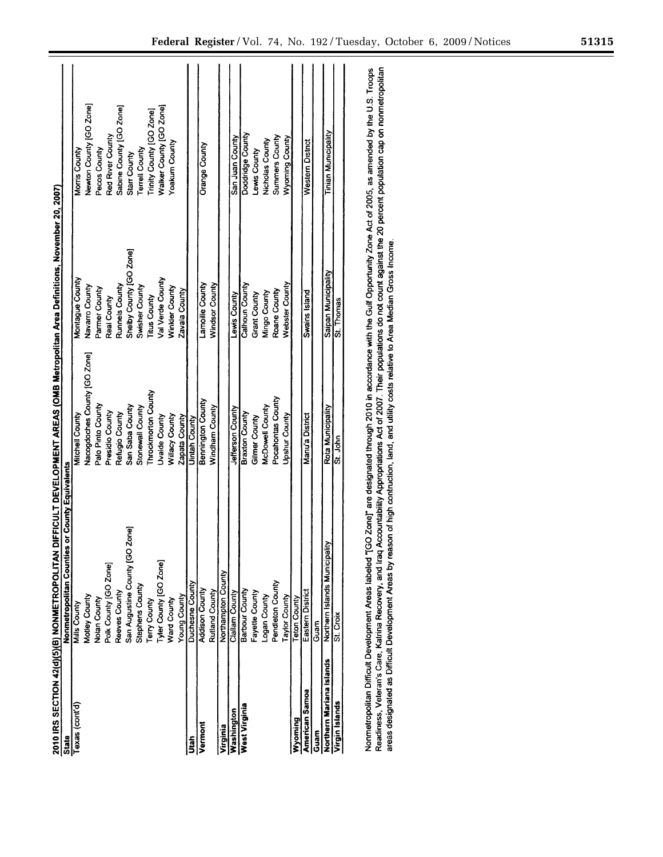|                          | 2010 IRS SECTION 42(d)(5)(B) NONMETROPOLITAN DIFFICULT DEVELOPMENT AREAS (OMB Metropolitan Area Definitions, November 20, 2007) |                              |                         |                            |
|--------------------------|---------------------------------------------------------------------------------------------------------------------------------|------------------------------|-------------------------|----------------------------|
| State                    | as or County Equivalents<br><b>Vonmetropolitan Countie</b>                                                                      |                              |                         |                            |
| Texas (cont'd)           | <b>Mills County</b>                                                                                                             | Mitchell County              | Montague County         | Morris County              |
|                          | Motley County                                                                                                                   | Nacogdoches County [GO Zone] | Navarro County          | Newton County [GO Zone]    |
|                          | Nolan County                                                                                                                    | Palo Pinto County            | Parmer County           | Pecos County               |
|                          | Polk County [GO Zone]                                                                                                           | Presidio County              | Real County             | Red River County           |
|                          | Reeves County                                                                                                                   | Refugio County               | Runnels County          | Sabine County [GO Zone]    |
|                          | 2one]<br>San Augustine County [GC                                                                                               | San Saba County              | Shelby County [GO Zone] | Starr County               |
|                          | Stephens County                                                                                                                 | Stonewall County             | Swisher County          | <b>Terrell County</b>      |
|                          | erry County                                                                                                                     | Throckmorton County          | Trus County             | Trinity County [GO Zone]   |
|                          | [yler County [GO Zone]                                                                                                          | Uvalde County                | Val Verde County        | Walker County [GO Zone]    |
|                          | Ward County                                                                                                                     | Willacy County               | Winkler County          | Yoakum County              |
|                          | Young County                                                                                                                    | Zapata County                | Zavala County           |                            |
| <b>S</b>                 | Duchesne County                                                                                                                 | <b>Uintah County</b>         |                         |                            |
| Vermont                  | <b>Addison County</b>                                                                                                           | Bennington County            | Lamoille County         | Orange County              |
|                          | <b>Rutland County</b>                                                                                                           | Windham County               | <b>Windsor County</b>   |                            |
| Virginia                 | Northampton County                                                                                                              |                              |                         |                            |
| Washington               | Clallam County                                                                                                                  | Jefferson County             | Lewis County            | San Juan County            |
| West Virginia            | Barbour County                                                                                                                  | <b>Braxton County</b>        | Calhoun County          | Doddridge County           |
|                          | Fayette County                                                                                                                  | Gilmer County                | <b>Grant County</b>     | Lewis County               |
|                          | Logan County                                                                                                                    | McDowell County              | Mingo County            | Nicholas County            |
|                          | Pendleton County                                                                                                                | Pocahontas County            | Roane County            | <b>Summers County</b>      |
|                          | Taylor County                                                                                                                   | <b>Upshur County</b>         | <b>Nebster County</b>   | <b>Nyoming County</b>      |
| Wyoming                  | Teton County                                                                                                                    |                              |                         |                            |
| American Samoa           | Eastern District                                                                                                                | Manu'a District              | Swains Island           | Western District           |
| Guam                     | Guam                                                                                                                            |                              |                         |                            |
| Northern Mariana Islands | Northern Islands Municipality                                                                                                   | Rota Municipality            | Saipan Municipality     | <b>Tinian Municipality</b> |
| Virgin Islands           | St. Croix                                                                                                                       | St. John                     | St. Thomas              |                            |
|                          |                                                                                                                                 |                              |                         |                            |

Nonmetropolitan Difficult Development Areas labeled "[GO Zone]" are designated through 2010 in accordance with the Gulf Opportunity Zone Act of 2005, as amended by the U.S. Troops<br>Readiness, Veteran's Care, Katrina Recover